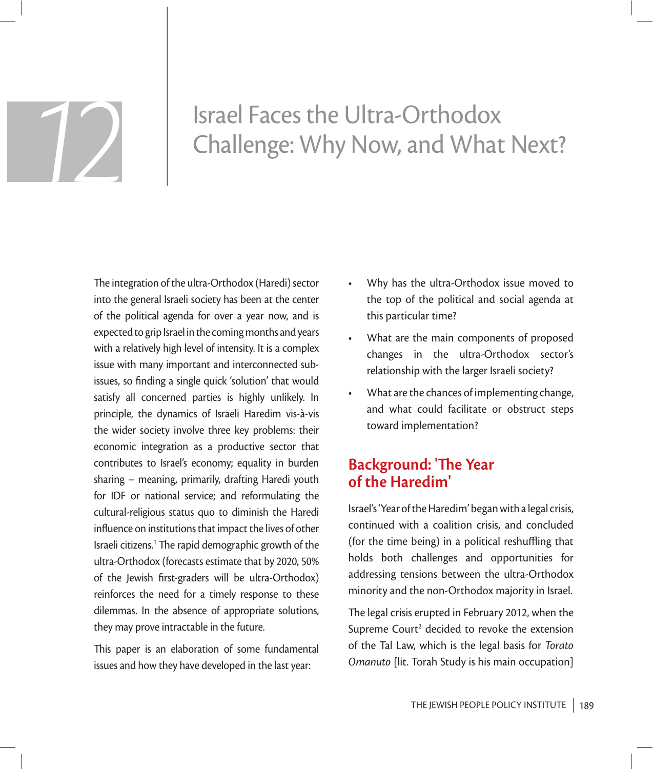# Israel Faces the Ultra-Orthodox Challenge: Why Now, and What Next?

The integration of the ultra-Orthodox (Haredi) sector into the general Israeli society has been at the center of the political agenda for over a year now, and is expected to grip Israel in the coming months and years with a relatively high level of intensity. It is a complex issue with many important and interconnected subissues, so finding a single quick 'solution' that would satisfy all concerned parties is highly unlikely. In principle, the dynamics of Israeli Haredim vis-à-vis the wider society involve three key problems: their economic integration as a productive sector that contributes to Israel's economy; equality in burden sharing – meaning, primarily, drafting Haredi youth for IDF or national service; and reformulating the cultural-religious status quo to diminish the Haredi influence on institutions that impact the lives of other Israeli citizens.<sup>1</sup> The rapid demographic growth of the ultra-Orthodox (forecasts estimate that by 2020, 50% of the Jewish first-graders will be ultra-Orthodox) reinforces the need for a timely response to these dilemmas. In the absence of appropriate solutions, they may prove intractable in the future.

This paper is an elaboration of some fundamental issues and how they have developed in the last year:

- Why has the ultra-Orthodox issue moved to the top of the political and social agenda at this particular time?
- What are the main components of proposed changes in the ultra-Orthodox sector's relationship with the larger Israeli society?
- What are the chances of implementing change, and what could facilitate or obstruct steps toward implementation?

# **Background: 'The Year of the Haredim'**

Israel's 'Year of the Haredim' began with a legal crisis, continued with a coalition crisis, and concluded (for the time being) in a political reshuffling that holds both challenges and opportunities for addressing tensions between the ultra-Orthodox minority and the non-Orthodox majority in Israel.

The legal crisis erupted in February 2012, when the Supreme Court<sup>2</sup> decided to revoke the extension of the Tal Law, which is the legal basis for *Torato Omanuto* [lit. Torah Study is his main occupation]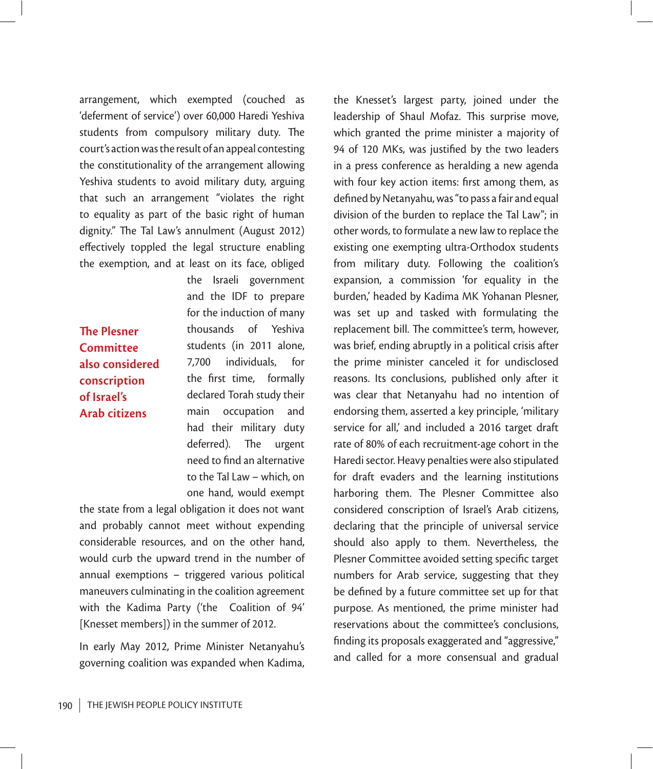arrangement, which exempted (couched as 'deferment of service') over 60,000 Haredi Yeshiva students from compulsory military duty. The court's action was the result of an appeal contesting the constitutionality of the arrangement allowing Yeshiva students to avoid military duty, arguing that such an arrangement "violates the right to equality as part of the basic right of human dignity." The Tal Law's annulment (August 2012) effectively toppled the legal structure enabling the exemption, and at least on its face, obliged

**The Plesner Committee also considered conscription of Israel's Arab citizens**

the Israeli government and the IDF to prepare for the induction of many thousands of Yeshiva students (in 2011 alone, 7,700 individuals, for the first time, formally declared Torah study their main occupation and had their military duty deferred). The urgent need to find an alternative to the Tal Law – which, on one hand, would exempt

the state from a legal obligation it does not want and probably cannot meet without expending considerable resources, and on the other hand, would curb the upward trend in the number of annual exemptions – triggered various political maneuvers culminating in the coalition agreement with the Kadima Party ('the Coalition of 94' [Knesset members]) in the summer of 2012.

In early May 2012, Prime Minister Netanyahu's governing coalition was expanded when Kadima, the Knesset's largest party, joined under the leadership of Shaul Mofaz. This surprise move, which granted the prime minister a majority of 94 of 120 MKs, was justified by the two leaders in a press conference as heralding a new agenda with four key action items: first among them, as defined by Netanyahu, was "to pass a fair and equal division of the burden to replace the Tal Law"; in other words, to formulate a new law to replace the existing one exempting ultra-Orthodox students from military duty. Following the coalition's expansion, a commission 'for equality in the burden,' headed by Kadima MK Yohanan Plesner, was set up and tasked with formulating the replacement bill. The committee's term, however, was brief, ending abruptly in a political crisis after the prime minister canceled it for undisclosed reasons. Its conclusions, published only after it was clear that Netanyahu had no intention of endorsing them, asserted a key principle, 'military service for all,' and included a 2016 target draft rate of 80% of each recruitment-age cohort in the Haredi sector. Heavy penalties were also stipulated for draft evaders and the learning institutions harboring them. The Plesner Committee also considered conscription of Israel's Arab citizens, declaring that the principle of universal service should also apply to them. Nevertheless, the Plesner Committee avoided setting specific target numbers for Arab service, suggesting that they be defined by a future committee set up for that purpose. As mentioned, the prime minister had reservations about the committee's conclusions, finding its proposals exaggerated and "aggressive," and called for a more consensual and gradual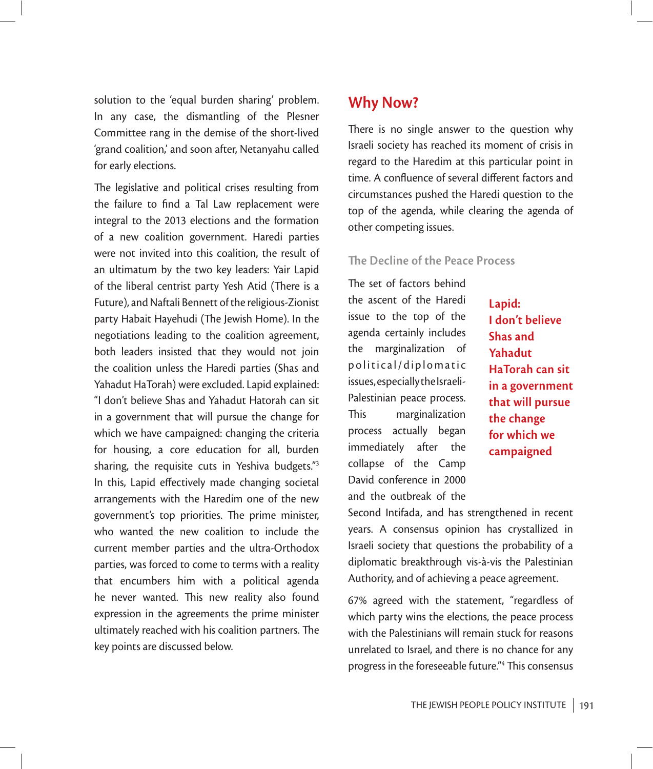solution to the 'equal burden sharing' problem. In any case, the dismantling of the Plesner Committee rang in the demise of the short-lived 'grand coalition,' and soon after, Netanyahu called for early elections.

The legislative and political crises resulting from the failure to find a Tal Law replacement were integral to the 2013 elections and the formation of a new coalition government. Haredi parties were not invited into this coalition, the result of an ultimatum by the two key leaders: Yair Lapid of the liberal centrist party Yesh Atid (There is a Future), and Naftali Bennett of the religious-Zionist party Habait Hayehudi (The Jewish Home). In the negotiations leading to the coalition agreement, both leaders insisted that they would not join the coalition unless the Haredi parties (Shas and Yahadut HaTorah) were excluded. Lapid explained: "I don't believe Shas and Yahadut Hatorah can sit in a government that will pursue the change for which we have campaigned: changing the criteria for housing, a core education for all, burden sharing, the requisite cuts in Yeshiva budgets."3 In this, Lapid effectively made changing societal arrangements with the Haredim one of the new government's top priorities. The prime minister, who wanted the new coalition to include the current member parties and the ultra-Orthodox parties, was forced to come to terms with a reality that encumbers him with a political agenda he never wanted. This new reality also found expression in the agreements the prime minister ultimately reached with his coalition partners. The key points are discussed below.

# **Why Now?**

There is no single answer to the question why Israeli society has reached its moment of crisis in regard to the Haredim at this particular point in time. A confluence of several different factors and circumstances pushed the Haredi question to the top of the agenda, while clearing the agenda of other competing issues.

#### **The Decline of the Peace Process**

The set of factors behind the ascent of the Haredi issue to the top of the agenda certainly includes the marginalization of political/diplomatic issues, especially the Israeli-Palestinian peace process. This marginalization process actually began immediately after the collapse of the Camp David conference in 2000 and the outbreak of the

**Lapid: I don't believe Shas and Yahadut HaTorah can sit in a government that will pursue the change for which we campaigned**

Second Intifada, and has strengthened in recent years. A consensus opinion has crystallized in Israeli society that questions the probability of a diplomatic breakthrough vis-à-vis the Palestinian Authority, and of achieving a peace agreement.

67% agreed with the statement, "regardless of which party wins the elections, the peace process with the Palestinians will remain stuck for reasons unrelated to Israel, and there is no chance for any progress in the foreseeable future."<sup>4</sup> This consensus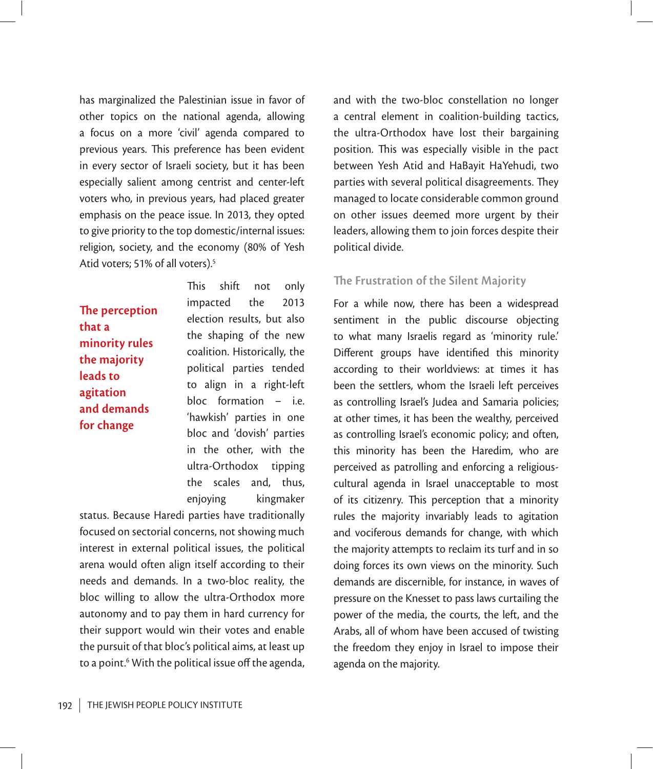has marginalized the Palestinian issue in favor of other topics on the national agenda, allowing a focus on a more 'civil' agenda compared to previous years. This preference has been evident in every sector of Israeli society, but it has been especially salient among centrist and center-left voters who, in previous years, had placed greater emphasis on the peace issue. In 2013, they opted to give priority to the top domestic/internal issues: religion, society, and the economy (80% of Yesh Atid voters; 51% of all voters).<sup>5</sup>

**The perception that a minority rules the majority leads to agitation and demands for change**

This shift not only impacted the 2013 election results, but also the shaping of the new coalition. Historically, the political parties tended to align in a right-left bloc formation – i.e. 'hawkish' parties in one bloc and 'dovish' parties in the other, with the ultra-Orthodox tipping the scales and, thus, enjoying kingmaker

status. Because Haredi parties have traditionally focused on sectorial concerns, not showing much interest in external political issues, the political arena would often align itself according to their needs and demands. In a two-bloc reality, the bloc willing to allow the ultra-Orthodox more autonomy and to pay them in hard currency for their support would win their votes and enable the pursuit of that bloc's political aims, at least up to a point.<sup>6</sup> With the political issue off the agenda, and with the two-bloc constellation no longer a central element in coalition-building tactics, the ultra-Orthodox have lost their bargaining position. This was especially visible in the pact between Yesh Atid and HaBayit HaYehudi, two parties with several political disagreements. They managed to locate considerable common ground on other issues deemed more urgent by their leaders, allowing them to join forces despite their political divide.

#### **The Frustration of the Silent Majority**

For a while now, there has been a widespread sentiment in the public discourse objecting to what many Israelis regard as 'minority rule.' Different groups have identified this minority according to their worldviews: at times it has been the settlers, whom the Israeli left perceives as controlling Israel's Judea and Samaria policies; at other times, it has been the wealthy, perceived as controlling Israel's economic policy; and often, this minority has been the Haredim, who are perceived as patrolling and enforcing a religiouscultural agenda in Israel unacceptable to most of its citizenry. This perception that a minority rules the majority invariably leads to agitation and vociferous demands for change, with which the majority attempts to reclaim its turf and in so doing forces its own views on the minority. Such demands are discernible, for instance, in waves of pressure on the Knesset to pass laws curtailing the power of the media, the courts, the left, and the Arabs, all of whom have been accused of twisting the freedom they enjoy in Israel to impose their agenda on the majority.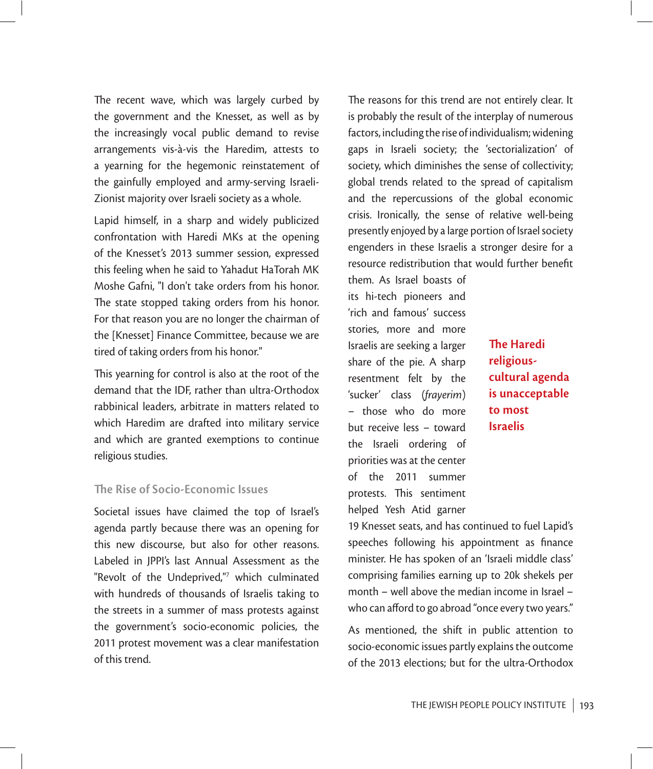The recent wave, which was largely curbed by the government and the Knesset, as well as by the increasingly vocal public demand to revise arrangements vis-à-vis the Haredim, attests to a yearning for the hegemonic reinstatement of the gainfully employed and army-serving Israeli-Zionist majority over Israeli society as a whole.

Lapid himself, in a sharp and widely publicized confrontation with Haredi MKs at the opening of the Knesset's 2013 summer session, expressed this feeling when he said to Yahadut HaTorah MK Moshe Gafni, "I don't take orders from his honor. The state stopped taking orders from his honor. For that reason you are no longer the chairman of the [Knesset] Finance Committee, because we are tired of taking orders from his honor."

This yearning for control is also at the root of the demand that the IDF, rather than ultra-Orthodox rabbinical leaders, arbitrate in matters related to which Haredim are drafted into military service and which are granted exemptions to continue religious studies.

#### **The Rise of Socio-Economic Issues**

Societal issues have claimed the top of Israel's agenda partly because there was an opening for this new discourse, but also for other reasons. Labeled in JPPI's last Annual Assessment as the "Revolt of the Undeprived,"7 which culminated with hundreds of thousands of Israelis taking to the streets in a summer of mass protests against the government's socio-economic policies, the 2011 protest movement was a clear manifestation of this trend.

The reasons for this trend are not entirely clear. It is probably the result of the interplay of numerous factors, including the rise of individualism; widening gaps in Israeli society; the 'sectorialization' of society, which diminishes the sense of collectivity; global trends related to the spread of capitalism and the repercussions of the global economic crisis. Ironically, the sense of relative well-being presently enjoyed by a large portion of Israel society engenders in these Israelis a stronger desire for a resource redistribution that would further benefit

them. As Israel boasts of its hi-tech pioneers and 'rich and famous' success stories, more and more Israelis are seeking a larger share of the pie. A sharp resentment felt by the 'sucker' class (*frayerim*) – those who do more but receive less – toward the Israeli ordering of priorities was at the center of the 2011 summer protests. This sentiment helped Yesh Atid garner

**The Haredi religiouscultural agenda is unacceptable to most Israelis**

19 Knesset seats, and has continued to fuel Lapid's speeches following his appointment as finance minister. He has spoken of an 'Israeli middle class' comprising families earning up to 20k shekels per month – well above the median income in Israel – who can afford to go abroad "once every two years."

As mentioned, the shift in public attention to socio-economic issues partly explains the outcome of the 2013 elections; but for the ultra-Orthodox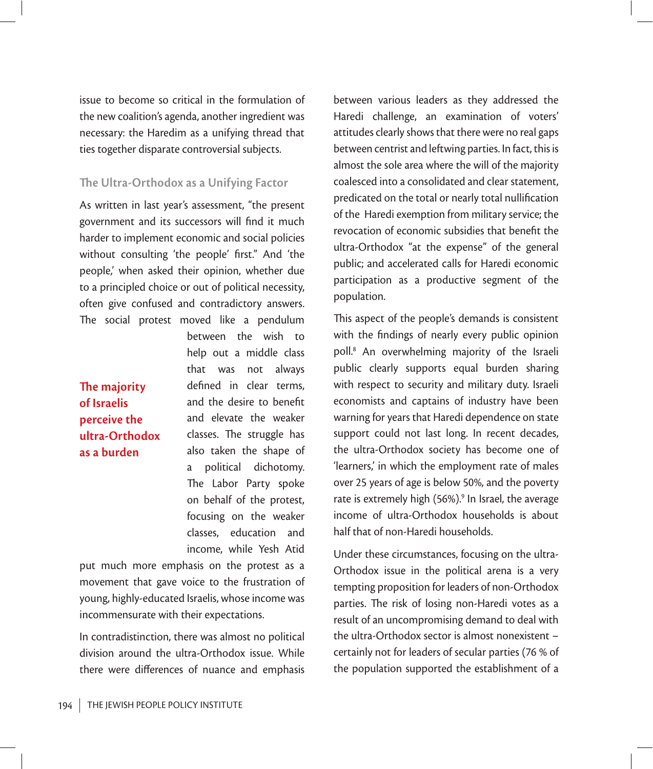issue to become so critical in the formulation of the new coalition's agenda, another ingredient was necessary: the Haredim as a unifying thread that ties together disparate controversial subjects.

#### **The Ultra-Orthodox as a Unifying Factor**

As written in last year's assessment, "the present government and its successors will find it much harder to implement economic and social policies without consulting 'the people' first." And 'the people,' when asked their opinion, whether due to a principled choice or out of political necessity, often give confused and contradictory answers. The social protest moved like a pendulum

# **The majority of Israelis perceive the ultra-Orthodox as a burden**

between the wish to help out a middle class that was not always defined in clear terms, and the desire to benefit and elevate the weaker classes. The struggle has also taken the shape of a political dichotomy. The Labor Party spoke on behalf of the protest, focusing on the weaker classes, education and income, while Yesh Atid

put much more emphasis on the protest as a movement that gave voice to the frustration of young, highly-educated Israelis, whose income was incommensurate with their expectations.

In contradistinction, there was almost no political division around the ultra-Orthodox issue. While there were differences of nuance and emphasis

between various leaders as they addressed the Haredi challenge, an examination of voters' attitudes clearly shows that there were no real gaps between centrist and leftwing parties. In fact, this is almost the sole area where the will of the majority coalesced into a consolidated and clear statement, predicated on the total or nearly total nullification of the Haredi exemption from military service; the revocation of economic subsidies that benefit the ultra-Orthodox "at the expense" of the general public; and accelerated calls for Haredi economic participation as a productive segment of the population.

This aspect of the people's demands is consistent with the findings of nearly every public opinion poll.8 An overwhelming majority of the Israeli public clearly supports equal burden sharing with respect to security and military duty. Israeli economists and captains of industry have been warning for years that Haredi dependence on state support could not last long. In recent decades, the ultra-Orthodox society has become one of 'learners,' in which the employment rate of males over 25 years of age is below 50%, and the poverty rate is extremely high (56%).<sup>9</sup> In Israel, the average income of ultra-Orthodox households is about half that of non-Haredi households.

Under these circumstances, focusing on the ultra-Orthodox issue in the political arena is a very tempting proposition for leaders of non-Orthodox parties. The risk of losing non-Haredi votes as a result of an uncompromising demand to deal with the ultra-Orthodox sector is almost nonexistent – certainly not for leaders of secular parties (76 % of the population supported the establishment of a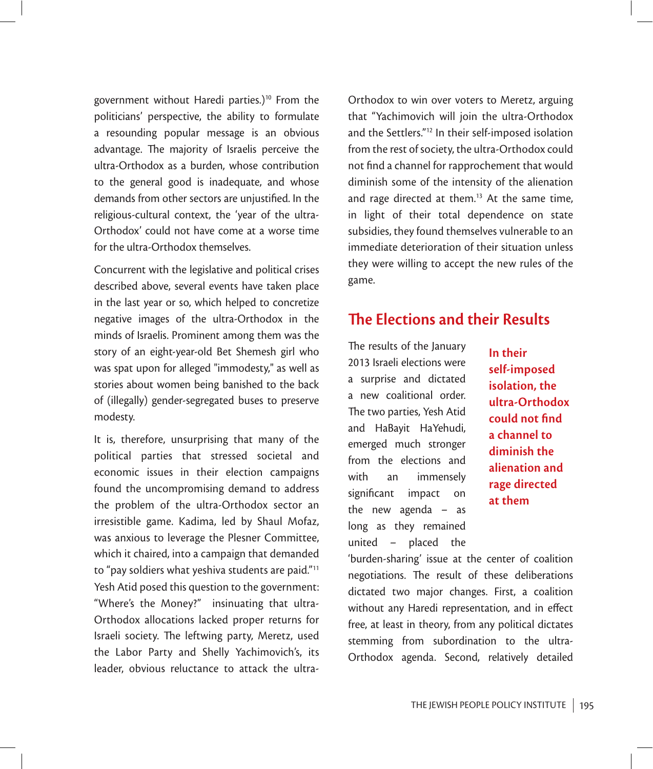government without Haredi parties.)<sup>10</sup> From the politicians' perspective, the ability to formulate a resounding popular message is an obvious advantage. The majority of Israelis perceive the ultra-Orthodox as a burden, whose contribution to the general good is inadequate, and whose demands from other sectors are unjustified. In the religious-cultural context, the 'year of the ultra-Orthodox' could not have come at a worse time for the ultra-Orthodox themselves.

Concurrent with the legislative and political crises described above, several events have taken place in the last year or so, which helped to concretize negative images of the ultra-Orthodox in the minds of Israelis. Prominent among them was the story of an eight-year-old Bet Shemesh girl who was spat upon for alleged "immodesty," as well as stories about women being banished to the back of (illegally) gender-segregated buses to preserve modesty.

It is, therefore, unsurprising that many of the political parties that stressed societal and economic issues in their election campaigns found the uncompromising demand to address the problem of the ultra-Orthodox sector an irresistible game. Kadima, led by Shaul Mofaz, was anxious to leverage the Plesner Committee, which it chaired, into a campaign that demanded to "pay soldiers what yeshiva students are paid."11 Yesh Atid posed this question to the government: "Where's the Money?" insinuating that ultra-Orthodox allocations lacked proper returns for Israeli society. The leftwing party, Meretz, used the Labor Party and Shelly Yachimovich's, its leader, obvious reluctance to attack the ultra-

Orthodox to win over voters to Meretz, arguing that "Yachimovich will join the ultra-Orthodox and the Settlers."12 In their self-imposed isolation from the rest of society, the ultra-Orthodox could not find a channel for rapprochement that would diminish some of the intensity of the alienation and rage directed at them.<sup>13</sup> At the same time, in light of their total dependence on state subsidies, they found themselves vulnerable to an immediate deterioration of their situation unless they were willing to accept the new rules of the game.

# **The Elections and their Results**

The results of the January 2013 Israeli elections were a surprise and dictated a new coalitional order. The two parties, Yesh Atid and HaBayit HaYehudi, emerged much stronger from the elections and with an immensely significant impact on the new agenda – as long as they remained united – placed the

**In their self-imposed isolation, the ultra-Orthodox could not find a channel to diminish the alienation and rage directed at them**

'burden-sharing' issue at the center of coalition negotiations. The result of these deliberations dictated two major changes. First, a coalition without any Haredi representation, and in effect free, at least in theory, from any political dictates stemming from subordination to the ultra-Orthodox agenda. Second, relatively detailed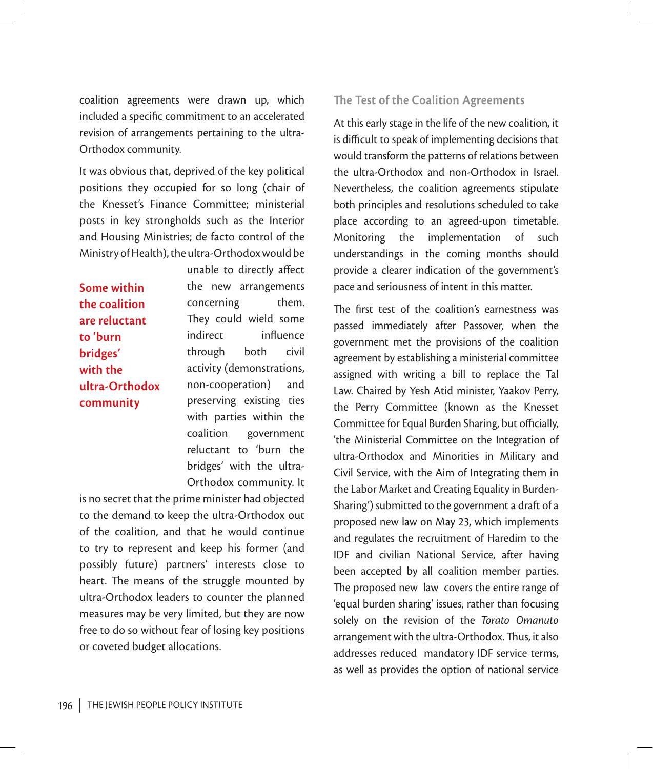coalition agreements were drawn up, which included a specific commitment to an accelerated revision of arrangements pertaining to the ultra-Orthodox community.

It was obvious that, deprived of the key political positions they occupied for so long (chair of the Knesset's Finance Committee; ministerial posts in key strongholds such as the Interior and Housing Ministries; de facto control of the Ministry of Health), the ultra-Orthodox would be

**Some within the coalition are reluctant to 'burn bridges' with the ultra-Orthodox community**

unable to directly affect the new arrangements concerning them. They could wield some indirect influence through both civil activity (demonstrations, non-cooperation) and preserving existing ties with parties within the coalition government reluctant to 'burn the bridges' with the ultra-Orthodox community. It

is no secret that the prime minister had objected to the demand to keep the ultra-Orthodox out of the coalition, and that he would continue to try to represent and keep his former (and possibly future) partners' interests close to heart. The means of the struggle mounted by ultra-Orthodox leaders to counter the planned measures may be very limited, but they are now free to do so without fear of losing key positions or coveted budget allocations.

#### **The Test of the Coalition Agreements**

At this early stage in the life of the new coalition, it is difficult to speak of implementing decisions that would transform the patterns of relations between the ultra-Orthodox and non-Orthodox in Israel. Nevertheless, the coalition agreements stipulate both principles and resolutions scheduled to take place according to an agreed-upon timetable. Monitoring the implementation of such understandings in the coming months should provide a clearer indication of the government's pace and seriousness of intent in this matter.

The first test of the coalition's earnestness was passed immediately after Passover, when the government met the provisions of the coalition agreement by establishing a ministerial committee assigned with writing a bill to replace the Tal Law. Chaired by Yesh Atid minister, Yaakov Perry, the Perry Committee (known as the Knesset Committee for Equal Burden Sharing, but officially, 'the Ministerial Committee on the Integration of ultra-Orthodox and Minorities in Military and Civil Service, with the Aim of Integrating them in the Labor Market and Creating Equality in Burden-Sharing') submitted to the government a draft of a proposed new law on May 23, which implements and regulates the recruitment of Haredim to the IDF and civilian National Service, after having been accepted by all coalition member parties. The proposed new law covers the entire range of 'equal burden sharing' issues, rather than focusing solely on the revision of the *Torato Omanuto* arrangement with the ultra-Orthodox. Thus, it also addresses reduced mandatory IDF service terms, as well as provides the option of national service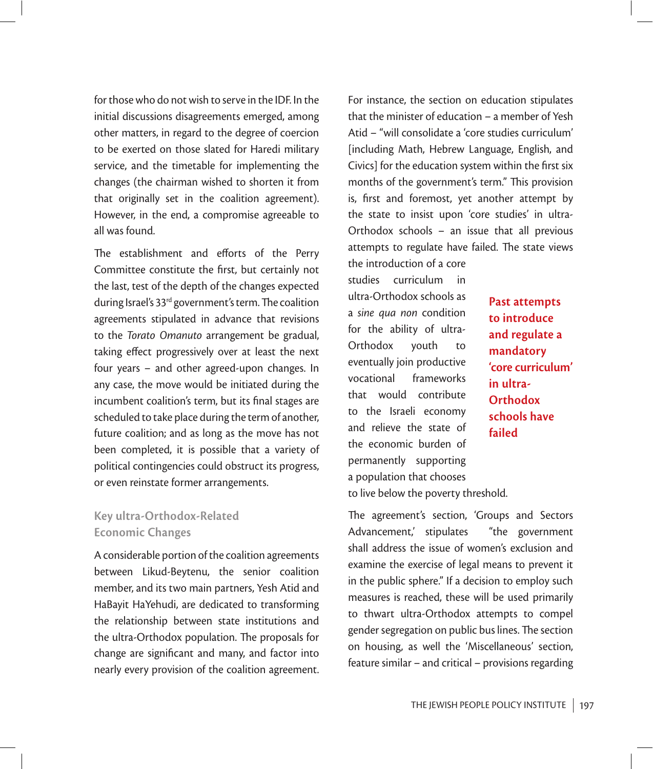for those who do not wish to serve in the IDF. In the initial discussions disagreements emerged, among other matters, in regard to the degree of coercion to be exerted on those slated for Haredi military service, and the timetable for implementing the changes (the chairman wished to shorten it from that originally set in the coalition agreement). However, in the end, a compromise agreeable to all was found.

The establishment and efforts of the Perry Committee constitute the first, but certainly not the last, test of the depth of the changes expected during Israel's  $33<sup>rd</sup>$  government's term. The coalition agreements stipulated in advance that revisions to the *Torato Omanuto* arrangement be gradual, taking effect progressively over at least the next four years – and other agreed-upon changes. In any case, the move would be initiated during the incumbent coalition's term, but its final stages are scheduled to take place during the term of another, future coalition; and as long as the move has not been completed, it is possible that a variety of political contingencies could obstruct its progress, or even reinstate former arrangements.

### **Key ultra-Orthodox-Related Economic Changes**

A considerable portion of the coalition agreements between Likud-Beytenu, the senior coalition member, and its two main partners, Yesh Atid and HaBayit HaYehudi, are dedicated to transforming the relationship between state institutions and the ultra-Orthodox population. The proposals for change are significant and many, and factor into nearly every provision of the coalition agreement. For instance, the section on education stipulates that the minister of education – a member of Yesh Atid – "will consolidate a 'core studies curriculum' [including Math, Hebrew Language, English, and Civics] for the education system within the first six months of the government's term." This provision is, first and foremost, yet another attempt by the state to insist upon 'core studies' in ultra-Orthodox schools – an issue that all previous attempts to regulate have failed. The state views

the introduction of a core studies curriculum in ultra-Orthodox schools as a *sine qua non* condition for the ability of ultra-Orthodox youth to eventually join productive vocational frameworks that would contribute to the Israeli economy and relieve the state of the economic burden of permanently supporting a population that chooses

**Past attempts to introduce and regulate a mandatory 'core curriculum' in ultra-Orthodox schools have failed**

to live below the poverty threshold.

The agreement's section, 'Groups and Sectors Advancement,' stipulates "the government shall address the issue of women's exclusion and examine the exercise of legal means to prevent it in the public sphere." If a decision to employ such measures is reached, these will be used primarily to thwart ultra-Orthodox attempts to compel gender segregation on public bus lines. The section on housing, as well the 'Miscellaneous' section, feature similar – and critical – provisions regarding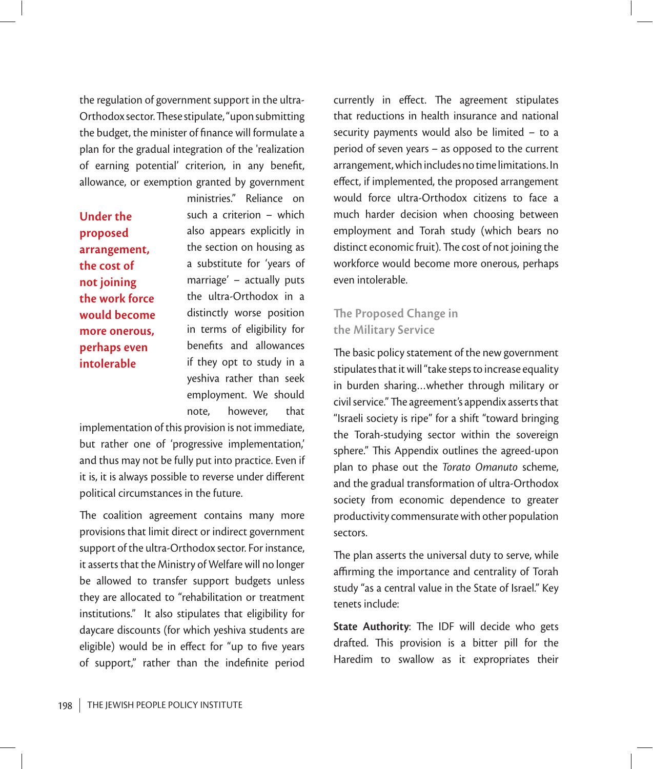the regulation of government support in the ultra-Orthodox sector. These stipulate, "upon submitting the budget, the minister of finance will formulate a plan for the gradual integration of the 'realization of earning potential' criterion, in any benefit, allowance, or exemption granted by government

**Under the proposed arrangement, the cost of not joining the work force would become more onerous, perhaps even intolerable**

ministries." Reliance on such a criterion – which also appears explicitly in the section on housing as a substitute for 'years of marriage' – actually puts the ultra-Orthodox in a distinctly worse position in terms of eligibility for benefits and allowances if they opt to study in a yeshiva rather than seek employment. We should note, however, that

implementation of this provision is not immediate, but rather one of 'progressive implementation,' and thus may not be fully put into practice. Even if it is, it is always possible to reverse under different political circumstances in the future.

The coalition agreement contains many more provisions that limit direct or indirect government support of the ultra-Orthodox sector. For instance, it asserts that the Ministry of Welfare will no longer be allowed to transfer support budgets unless they are allocated to "rehabilitation or treatment institutions." It also stipulates that eligibility for daycare discounts (for which yeshiva students are eligible) would be in effect for "up to five years of support," rather than the indefinite period

currently in effect. The agreement stipulates that reductions in health insurance and national security payments would also be limited – to a period of seven years – as opposed to the current arrangement, which includes no time limitations. In effect, if implemented, the proposed arrangement would force ultra-Orthodox citizens to face a much harder decision when choosing between employment and Torah study (which bears no distinct economic fruit). The cost of not joining the workforce would become more onerous, perhaps even intolerable.

#### **The Proposed Change in the Military Service**

The basic policy statement of the new government stipulates that it will "take steps to increase equality in burden sharing…whether through military or civil service." The agreement's appendix asserts that "Israeli society is ripe" for a shift "toward bringing the Torah-studying sector within the sovereign sphere." This Appendix outlines the agreed-upon plan to phase out the *Torato Omanuto* scheme, and the gradual transformation of ultra-Orthodox society from economic dependence to greater productivity commensurate with other population sectors.

The plan asserts the universal duty to serve, while affirming the importance and centrality of Torah study "as a central value in the State of Israel." Key tenets include:

**State Authority:** The IDF will decide who gets drafted. This provision is a bitter pill for the Haredim to swallow as it expropriates their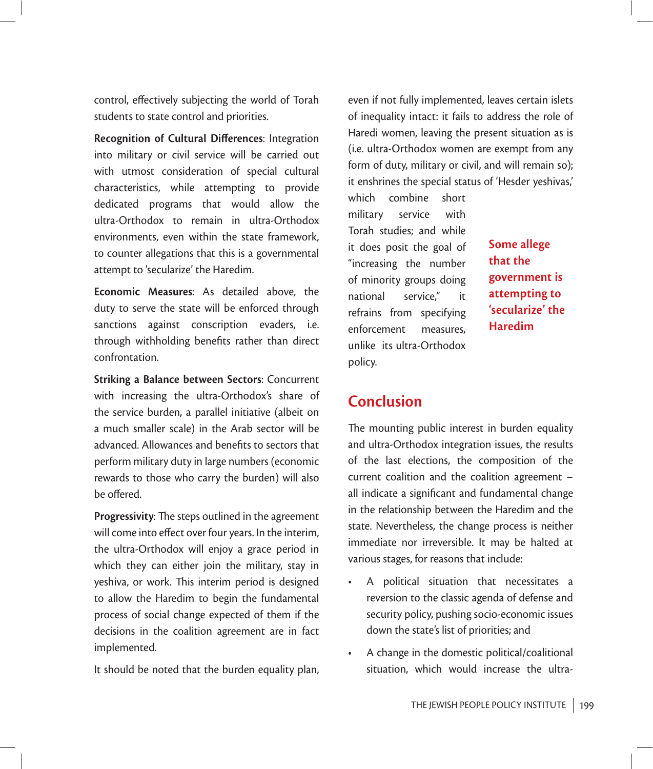control, effectively subjecting the world of Torah students to state control and priorities.

**Recognition of Cultural Differences: Integration** into military or civil service will be carried out with utmost consideration of special cultural characteristics, while attempting to provide dedicated programs that would allow the ultra-Orthodox to remain in ultra-Orthodox environments, even within the state framework, to counter allegations that this is a governmental attempt to 'secularize' the Haredim.

**Economic Measures**: As detailed above, the duty to serve the state will be enforced through sanctions against conscription evaders, i.e. through withholding benefits rather than direct confrontation.

**Striking a Balance between Sectors**: Concurrent with increasing the ultra-Orthodox's share of the service burden, a parallel initiative (albeit on a much smaller scale) in the Arab sector will be advanced. Allowances and benefits to sectors that perform military duty in large numbers (economic rewards to those who carry the burden) will also be offered.

**Progressivity:** The steps outlined in the agreement will come into effect over four years. In the interim, the ultra-Orthodox will enjoy a grace period in which they can either join the military, stay in yeshiva, or work. This interim period is designed to allow the Haredim to begin the fundamental process of social change expected of them if the decisions in the coalition agreement are in fact implemented.

It should be noted that the burden equality plan,

even if not fully implemented, leaves certain islets of inequality intact: it fails to address the role of Haredi women, leaving the present situation as is (i.e. ultra-Orthodox women are exempt from any form of duty, military or civil, and will remain so); it enshrines the special status of 'Hesder yeshivas,'

which combine short military service with Torah studies; and while it does posit the goal of "increasing the number of minority groups doing national service," it refrains from specifying enforcement measures, unlike its ultra-Orthodox policy.

**Some allege that the government is attempting to 'secularize' the Haredim**

# **Conclusion**

The mounting public interest in burden equality and ultra-Orthodox integration issues, the results of the last elections, the composition of the current coalition and the coalition agreement – all indicate a significant and fundamental change in the relationship between the Haredim and the state. Nevertheless, the change process is neither immediate nor irreversible. It may be halted at various stages, for reasons that include:

- A political situation that necessitates a reversion to the classic agenda of defense and security policy, pushing socio-economic issues down the state's list of priorities; and
- A change in the domestic political/coalitional situation, which would increase the ultra-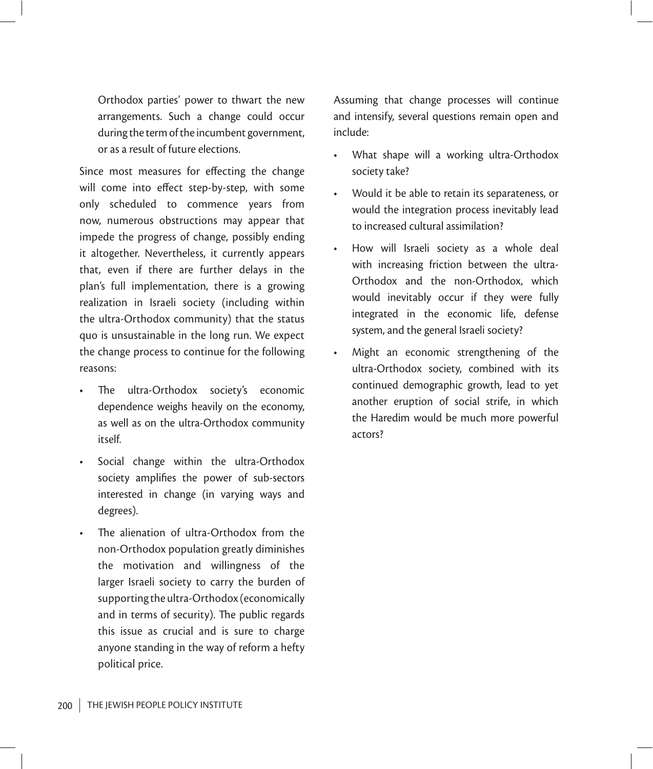Orthodox parties' power to thwart the new arrangements. Such a change could occur during the term of the incumbent government, or as a result of future elections.

Since most measures for effecting the change will come into effect step-by-step, with some only scheduled to commence years from now, numerous obstructions may appear that impede the progress of change, possibly ending it altogether. Nevertheless, it currently appears that, even if there are further delays in the plan's full implementation, there is a growing realization in Israeli society (including within the ultra-Orthodox community) that the status quo is unsustainable in the long run. We expect the change process to continue for the following reasons:

- The ultra-Orthodox society's economic dependence weighs heavily on the economy, as well as on the ultra-Orthodox community itself.
- Social change within the ultra-Orthodox society amplifies the power of sub-sectors interested in change (in varying ways and degrees).
- The alienation of ultra-Orthodox from the non-Orthodox population greatly diminishes the motivation and willingness of the larger Israeli society to carry the burden of supporting the ultra-Orthodox (economically and in terms of security). The public regards this issue as crucial and is sure to charge anyone standing in the way of reform a hefty political price.

Assuming that change processes will continue and intensify, several questions remain open and include:

- What shape will a working ultra-Orthodox society take?
- Would it be able to retain its separateness, or would the integration process inevitably lead to increased cultural assimilation?
- How will Israeli society as a whole deal with increasing friction between the ultra-Orthodox and the non-Orthodox, which would inevitably occur if they were fully integrated in the economic life, defense system, and the general Israeli society?
- Might an economic strengthening of the ultra-Orthodox society, combined with its continued demographic growth, lead to yet another eruption of social strife, in which the Haredim would be much more powerful actors?